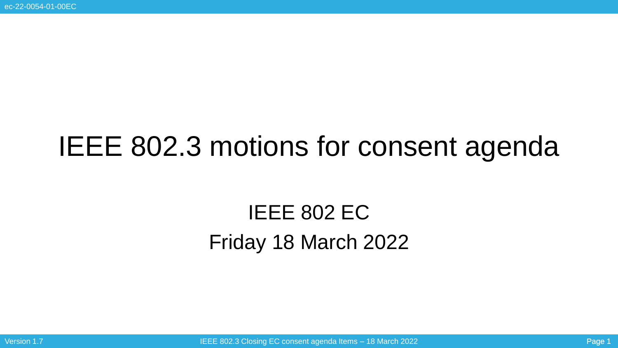# IEEE 802.3 motions for consent agenda

## IEEE 802 EC Friday 18 March 2022

Version 1.7 Intervention of the ULEE 802.3 Closing EC consent agenda Items – 18 March 2022 Page 1 and 2021 Page 1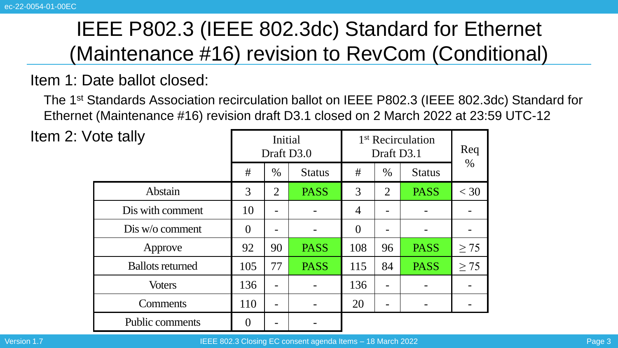### Item 1: Date ballot closed:

The 1st Standards Association recirculation ballot on IEEE P802.3 (IEEE 802.3dc) Standard for Ethernet (Maintenance #16) revision draft D3.1 closed on 2 March 2022 at 23:59 UTC-12

| ote tally |                         |                | Initial<br>Draft D3.0 |               | 1 <sup>st</sup> Recirculation<br>Draft D3.1 | Req  |               |           |
|-----------|-------------------------|----------------|-----------------------|---------------|---------------------------------------------|------|---------------|-----------|
|           |                         | #              | $\%$                  | <b>Status</b> | #                                           | $\%$ | <b>Status</b> | $\%$      |
|           | Abstain                 | 3              | $\overline{2}$        | <b>PASS</b>   | 3                                           | 2    | <b>PASS</b>   | $<$ 30    |
|           | Dis with comment        | 10             |                       |               | $\overline{4}$                              |      |               |           |
|           | Dis w/o comment         | $\theta$       |                       |               | $\overline{0}$                              |      |               |           |
|           | Approve                 | 92             | 90                    | <b>PASS</b>   | 108                                         | 96   | <b>PASS</b>   | $\geq$ 75 |
|           | <b>Ballots returned</b> | 105            | 77                    | <b>PASS</b>   | 115                                         | 84   | <b>PASS</b>   | $\geq$ 75 |
|           | <b>Voters</b>           | 136            |                       |               | 136                                         |      |               |           |
|           | Comments                | 110            |                       |               | 20                                          |      |               |           |
|           | Public comments         | $\overline{0}$ |                       |               |                                             |      |               |           |

Item  $2:V$ 

Version 1.7 IEEE 802.3 Closing EC consent agenda Items – 18 March 2022 Page 3 Archives 1.7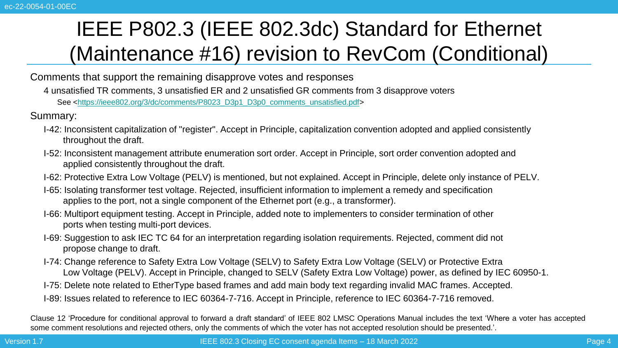Comments that support the remaining disapprove votes and responses

4 unsatisfied TR comments, 3 unsatisfied ER and 2 unsatisfied GR comments from 3 disapprove voters See [<https://ieee802.org/3/dc/comments/P8023\\_D3p1\\_D3p0\\_comments\\_unsatisfied.pdf>](https://ieee802.org/3/dc/comments/P8023_D3p1_D3p0_comments_unsatisfied.pdf)

Summary:

- I-42: Inconsistent capitalization of "register". Accept in Principle, capitalization convention adopted and applied consistently throughout the draft.
- I-52: Inconsistent management attribute enumeration sort order. Accept in Principle, sort order convention adopted and applied consistently throughout the draft.
- I-62: Protective Extra Low Voltage (PELV) is mentioned, but not explained. Accept in Principle, delete only instance of PELV.
- I-65: Isolating transformer test voltage. Rejected, insufficient information to implement a remedy and specification applies to the port, not a single component of the Ethernet port (e.g., a transformer).
- I-66: Multiport equipment testing. Accept in Principle, added note to implementers to consider termination of other ports when testing multi-port devices.
- I-69: Suggestion to ask IEC TC 64 for an interpretation regarding isolation requirements. Rejected, comment did not propose change to draft.
- I-74: Change reference to Safety Extra Low Voltage (SELV) to Safety Extra Low Voltage (SELV) or Protective Extra Low Voltage (PELV). Accept in Principle, changed to SELV (Safety Extra Low Voltage) power, as defined by IEC 60950-1.
- I-75: Delete note related to EtherType based frames and add main body text regarding invalid MAC frames. Accepted.
- I-89: Issues related to reference to IEC 60364-7-716. Accept in Principle, reference to IEC 60364-7-716 removed.

Clause 12 'Procedure for conditional approval to forward a draft standard' of IEEE 802 LMSC Operations Manual includes the text 'Where a voter has accepted some comment resolutions and rejected others, only the comments of which the voter has not accepted resolution should be presented.'.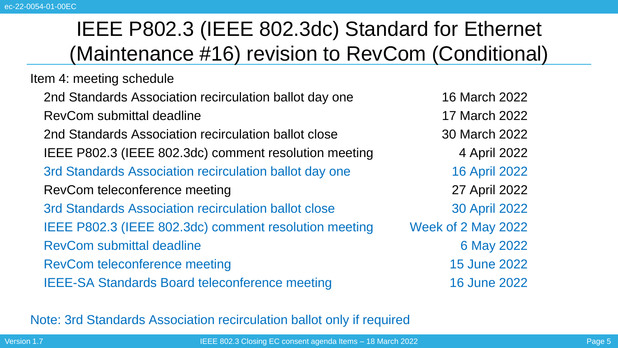Item 4: meeting schedule

2nd Standards Association recirculation ballot day one 16 March 2022 RevCom submittal deadline 17 March 2022

2nd Standards Association recirculation ballot close 30 March 2022

IEEE P802.3 (IEEE 802.3dc) comment resolution meeting 4 April 2022

3rd Standards Association recirculation ballot day one 16 April 2022

RevCom teleconference meeting 27 April 2022

3rd Standards Association recirculation ballot close 30 April 2022 IEEE P802.3 (IEEE 802.3dc) comment resolution meeting Week of 2 May 2022

RevCom submittal deadline 6 May 2022

RevCom teleconference meeting 15 June 2022

IEEE-SA Standards Board teleconference meeting 16 June 2022

Note: 3rd Standards Association recirculation ballot only if required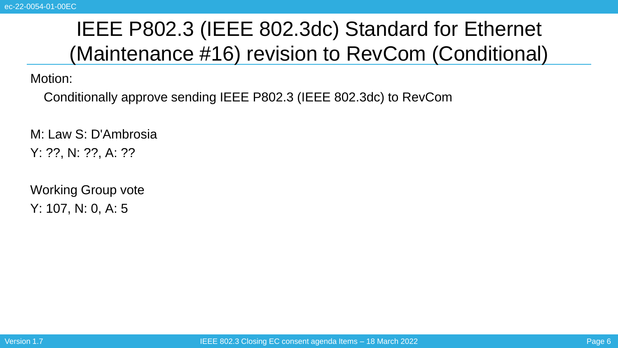Motion:

Conditionally approve sending IEEE P802.3 (IEEE 802.3dc) to RevCom

M: Law S: D'Ambrosia Y: ??, N: ??, A: ??

Working Group vote Y: 107, N: 0, A: 5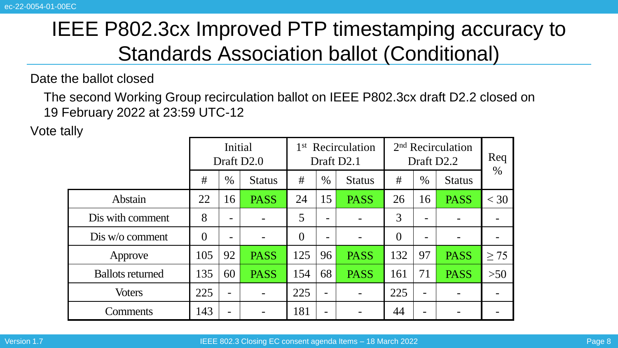Date the ballot closed

The second Working Group recirculation ballot on IEEE P802.3cx draft D2.2 closed on 19 February 2022 at 23:59 UTC-12

Vote tally

| л                       | Initial<br>Draft D <sub>2.0</sub> |      |                          | 1 <sup>st</sup> Recirculation<br>Draft D2.1 |                          |               | 2 <sup>nd</sup> Recirculation<br>Draft D <sub>2.2</sub> |                          |               | Req       |
|-------------------------|-----------------------------------|------|--------------------------|---------------------------------------------|--------------------------|---------------|---------------------------------------------------------|--------------------------|---------------|-----------|
|                         | #                                 | $\%$ | <b>Status</b>            | #                                           | $\%$                     | <b>Status</b> | #                                                       | $\%$                     | <b>Status</b> | $\%$      |
| Abstain                 | 22                                | 16   | <b>PASS</b>              | 24                                          | 15                       | <b>PASS</b>   | 26                                                      | 16                       | <b>PASS</b>   | $<$ 30    |
| Dis with comment        | 8                                 |      |                          | 5                                           | $\overline{\phantom{0}}$ |               | 3                                                       | -                        |               |           |
| Dis w/o comment         | $\theta$                          |      |                          | 0                                           |                          |               | $\theta$                                                |                          |               |           |
| Approve                 | 105                               | 92   | <b>PASS</b>              | 125                                         | 96                       | <b>PASS</b>   | 132                                                     | 97                       | <b>PASS</b>   | $\geq$ 75 |
| <b>Ballots returned</b> | 135                               | 60   | <b>PASS</b>              | 154                                         | 68                       | <b>PASS</b>   | 161                                                     | 71                       | <b>PASS</b>   | $>50$     |
| <b>Voters</b>           | 225                               | -    | $\overline{\phantom{a}}$ | 225                                         | $\overline{\phantom{a}}$ |               | 225                                                     | $\overline{\phantom{0}}$ |               |           |
| Comments                | 143                               |      |                          | 181                                         |                          |               | 44                                                      |                          |               |           |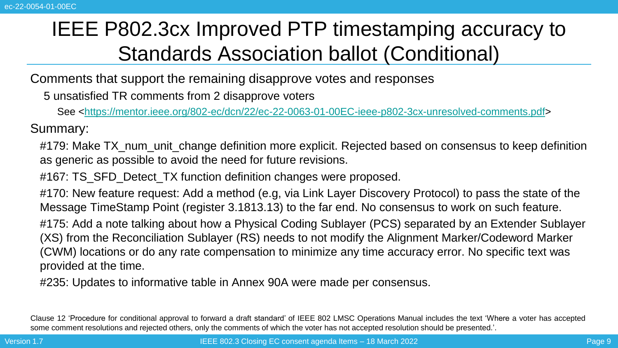Comments that support the remaining disapprove votes and responses

5 unsatisfied TR comments from 2 disapprove voters

See [<https://mentor.ieee.org/802-ec/dcn/22/ec-22-0063-01-00EC-ieee-p802-3cx-unresolved-comments.pdf>](https://mentor.ieee.org/802-ec/dcn/22/ec-22-0063-01-00EC-ieee-p802-3cx-unresolved-comments.pdf)

Summary:

#179: Make TX, num, unit, change definition more explicit. Rejected based on consensus to keep definition as generic as possible to avoid the need for future revisions.

#167: TS\_SFD\_Detect\_TX function definition changes were proposed.

#170: New feature request: Add a method (e.g, via Link Layer Discovery Protocol) to pass the state of the Message TimeStamp Point (register 3.1813.13) to the far end. No consensus to work on such feature.

#175: Add a note talking about how a Physical Coding Sublayer (PCS) separated by an Extender Sublayer (XS) from the Reconciliation Sublayer (RS) needs to not modify the Alignment Marker/Codeword Marker (CWM) locations or do any rate compensation to minimize any time accuracy error. No specific text was provided at the time.

#235: Updates to informative table in Annex 90A were made per consensus.

Clause 12 'Procedure for conditional approval to forward a draft standard' of IEEE 802 LMSC Operations Manual includes the text 'Where a voter has accepted some comment resolutions and rejected others, only the comments of which the voter has not accepted resolution should be presented.'.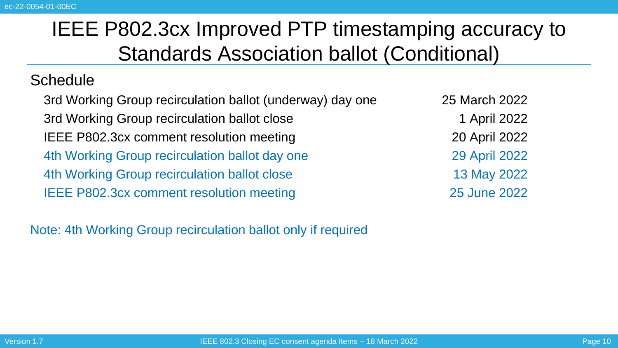### **Schedule**

3rd Working Group recirculation ballot (underway) day one 25 March 2022 3rd Working Group recirculation ballot close 1 April 2022 IEEE P802.3cx comment resolution meeting 20 April 2022 4th Working Group recirculation ballot day one 29 April 2022 4th Working Group recirculation ballot close 13 May 2022 IEEE P802.3cx comment resolution meeting 25 June 2022

Note: 4th Working Group recirculation ballot only if required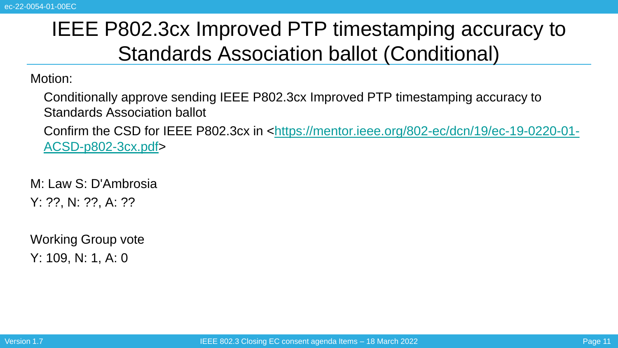Motion:

Conditionally approve sending IEEE P802.3cx Improved PTP timestamping accuracy to Standards Association ballot

Confirm the CSD for IEEE P802.3cx [in <https://mentor.ieee.org/802-ec/dcn/19/ec-19-0220-01-](https://mentor.ieee.org/802-ec/dcn/19/ec-19-0220-01-ACSD-p802-3cx.pdf) ACSD-p802-3cx.pdf>

M: Law S: D'Ambrosia Y: ??, N: ??, A: ??

Working Group vote Y: 109, N: 1, A: 0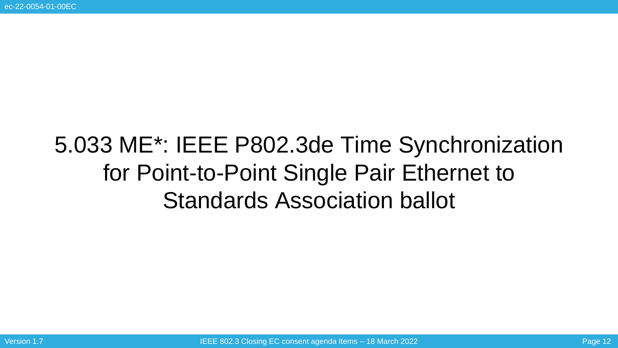# 5.033 ME\*: IEEE P802.3de Time Synchronization for Point-to-Point Single Pair Ethernet to Standards Association ballot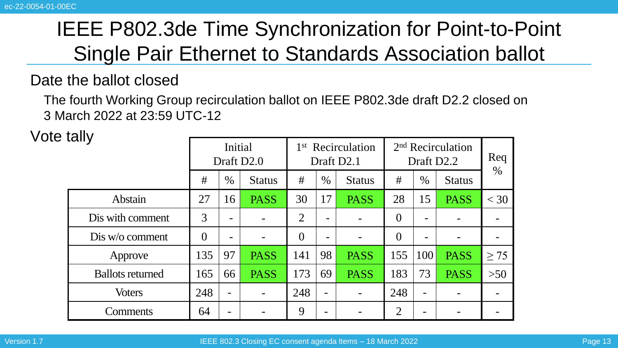## IEEE P802.3de Time Synchronization for Point-to-Point Single Pair Ethernet to Standards Association ballot

### Date the ballot closed

The fourth Working Group recirculation ballot on IEEE P802.3de draft D2.2 closed on 3 March 2022 at 23:59 UTC-12

Vote tally

| ιαιιγ                   | Initial<br>Draft D <sub>2.0</sub> |                 |               | 1 <sup>st</sup> Recirculation<br>Draft D <sub>2.1</sub> |      |               | 2 <sup>nd</sup> Recirculation<br>Draft D <sub>2.2</sub> |                          |               | Req       |
|-------------------------|-----------------------------------|-----------------|---------------|---------------------------------------------------------|------|---------------|---------------------------------------------------------|--------------------------|---------------|-----------|
|                         | #                                 | $\%$            | <b>Status</b> | #                                                       | $\%$ | <b>Status</b> | #                                                       | $\%$                     | <b>Status</b> | $\%$      |
| Abstain                 | 27                                | 16              | <b>PASS</b>   | 30                                                      | 17   | <b>PASS</b>   | 28                                                      | 15                       | <b>PASS</b>   | $<$ 30    |
| Dis with comment        | 3                                 | -               |               | $\overline{2}$                                          | -    |               | $\overline{0}$                                          | -                        |               |           |
| Dis w/o comment         | $\theta$                          | -               |               | $\theta$                                                | -    |               | $\overline{0}$                                          | -                        |               |           |
| Approve                 | 135                               | 97              | <b>PASS</b>   | 141                                                     | 98   | <b>PASS</b>   | 155                                                     | 100                      | <b>PASS</b>   | $\geq$ 75 |
| <b>Ballots returned</b> | 165                               | 66              | <b>PASS</b>   | 173                                                     | 69   | <b>PASS</b>   | 183                                                     | 73                       | <b>PASS</b>   | $>50$     |
| <b>Voters</b>           | 248                               | $\qquad \qquad$ |               | 248                                                     |      |               | 248                                                     | $\overline{\phantom{0}}$ |               |           |
| Comments                | 64                                | -               |               | 9                                                       |      |               | $\overline{2}$                                          | -                        |               |           |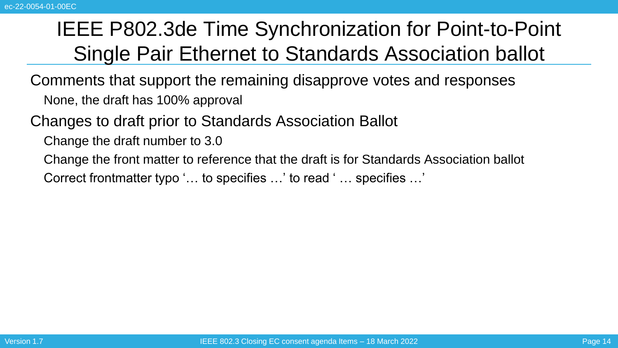## IEEE P802.3de Time Synchronization for Point-to-Point Single Pair Ethernet to Standards Association ballot

Comments that support the remaining disapprove votes and responses None, the draft has 100% approval

Changes to draft prior to Standards Association Ballot

Change the draft number to 3.0

Change the front matter to reference that the draft is for Standards Association ballot

Correct frontmatter typo '… to specifies …' to read ' … specifies …'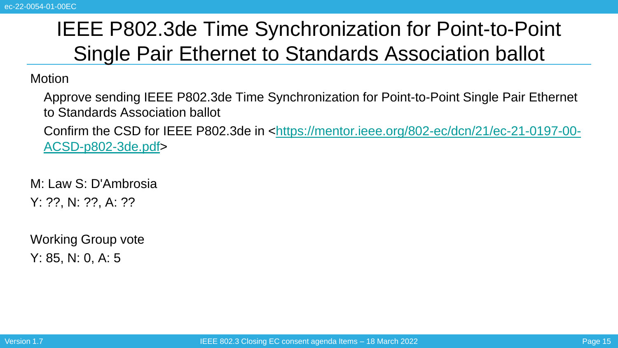## IEEE P802.3de Time Synchronization for Point-to-Point Single Pair Ethernet to Standards Association ballot

**Motion** 

Approve sending IEEE P802.3de Time Synchronization for Point-to-Point Single Pair Ethernet to Standards Association ballot

Confirm the CSD for IEEE P802.3de [in <https://mentor.ieee.org/802-ec/dcn/21/ec-21-0197-00-](https://mentor.ieee.org/802-ec/dcn/21/ec-21-0197-00-ACSD-p802-3de.pdf) ACSD-p802-3de.pdf>

M: Law S: D'Ambrosia Y: ??, N: ??, A: ??

Working Group vote Y: 85, N: 0, A: 5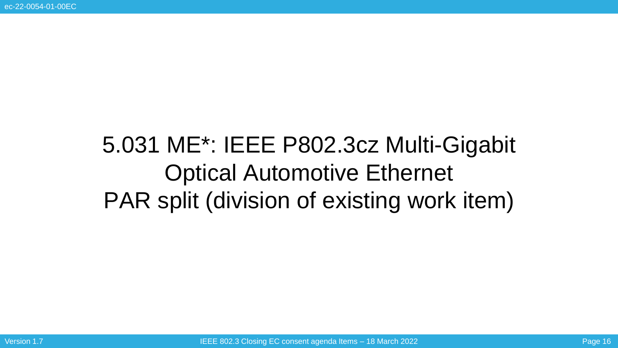# 5.031 ME\*: IEEE P802.3cz Multi-Gigabit Optical Automotive Ethernet PAR split (division of existing work item)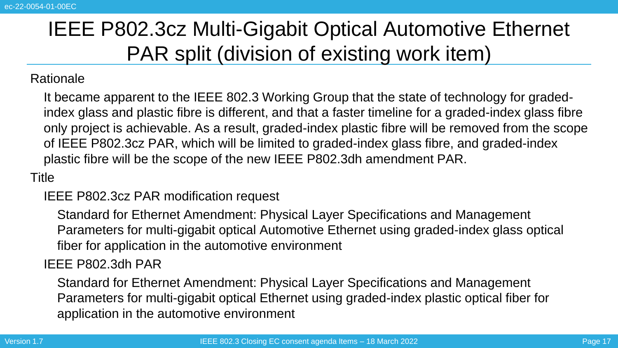## IEEE P802.3cz Multi-Gigabit Optical Automotive Ethernet PAR split (division of existing work item)

#### Rationale

It became apparent to the IEEE 802.3 Working Group that the state of technology for gradedindex glass and plastic fibre is different, and that a faster timeline for a graded-index glass fibre only project is achievable. As a result, graded-index plastic fibre will be removed from the scope of IEEE P802.3cz PAR, which will be limited to graded-index glass fibre, and graded-index plastic fibre will be the scope of the new IEEE P802.3dh amendment PAR.

### Title

### IEEE P802.3cz PAR modification request

Standard for Ethernet Amendment: Physical Layer Specifications and Management Parameters for multi-gigabit optical Automotive Ethernet using graded-index glass optical fiber for application in the automotive environment

### IEEE P802.3dh PAR

Standard for Ethernet Amendment: Physical Layer Specifications and Management Parameters for multi-gigabit optical Ethernet using graded-index plastic optical fiber for application in the automotive environment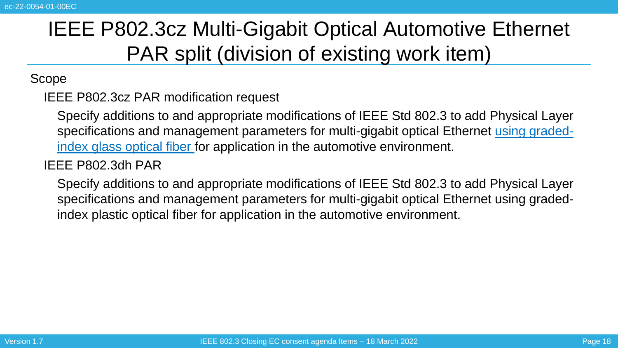## IEEE P802.3cz Multi-Gigabit Optical Automotive Ethernet PAR split (division of existing work item)

Scope

IEEE P802.3cz PAR modification request

Specify additions to and appropriate modifications of IEEE Std 802.3 to add Physical Layer specifications and management parameters for multi-gigabit optical Ethernet using gradedindex glass optical fiber for application in the automotive environment.

### IEEE P802.3dh PAR

Specify additions to and appropriate modifications of IEEE Std 802.3 to add Physical Layer specifications and management parameters for multi-gigabit optical Ethernet using gradedindex plastic optical fiber for application in the automotive environment.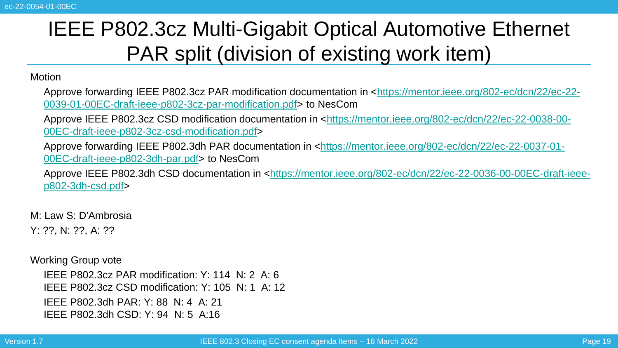## IEEE P802.3cz Multi-Gigabit Optical Automotive Ethernet PAR split (division of existing work item)

Motion

Approve forwarding IEEE P802.3cz [PAR modification documentation in <https://mentor.ieee.org/802-ec/dcn/22/ec-22-](https://mentor.ieee.org/802-ec/dcn/22/ec-22-0039-01-00EC-draft-ieee-p802-3cz-par-modification.pdf) 0039-01-00EC-draft-ieee-p802-3cz-par-modification.pdf> to NesCom

Approve IEEE P802.3cz CSD [modification documentation in <https://mentor.ieee.org/802-ec/dcn/22/ec-22-0038-00-](https://mentor.ieee.org/802-ec/dcn/22/ec-22-0038-00-00EC-draft-ieee-p802-3cz-csd-modification.pdf) 00EC-draft-ieee-p802-3cz-csd-modification.pdf>

Approve forwarding IEEE P802.3dh [PAR documentation in <https://mentor.ieee.org/802-ec/dcn/22/ec-22-0037-01-](https://mentor.ieee.org/802-ec/dcn/22/ec-22-0037-01-00EC-draft-ieee-p802-3dh-par.pdf) 00EC-draft-ieee-p802-3dh-par.pdf> to NesCom

Approve IEEE P802.3dh CSD [documentation in <https://mentor.ieee.org/802-ec/dcn/22/ec-22-0036-00-00EC-draft-ieee](https://mentor.ieee.org/802-ec/dcn/22/ec-22-0036-00-00EC-draft-ieee-p802-3dh-csd.pdf)p802-3dh-csd.pdf>

M: Law S: D'Ambrosia Y: ??, N: ??, A: ??

Working Group vote

IEEE P802.3cz PAR modification: Y: 114 N: 2 A: 6 IEEE P802.3cz CSD modification: Y: 105 N: 1 A: 12 IEEE P802.3dh PAR: Y: 88 N: 4 A: 21 IEEE P802.3dh CSD: Y: 94 N: 5 A:16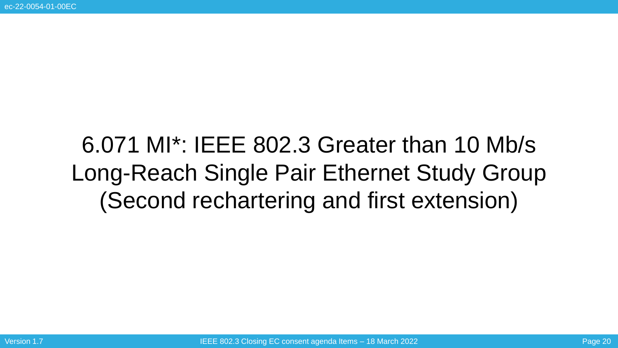# 6.071 MI\*: IEEE 802.3 Greater than 10 Mb/s Long-Reach Single Pair Ethernet Study Group (Second rechartering and first extension)